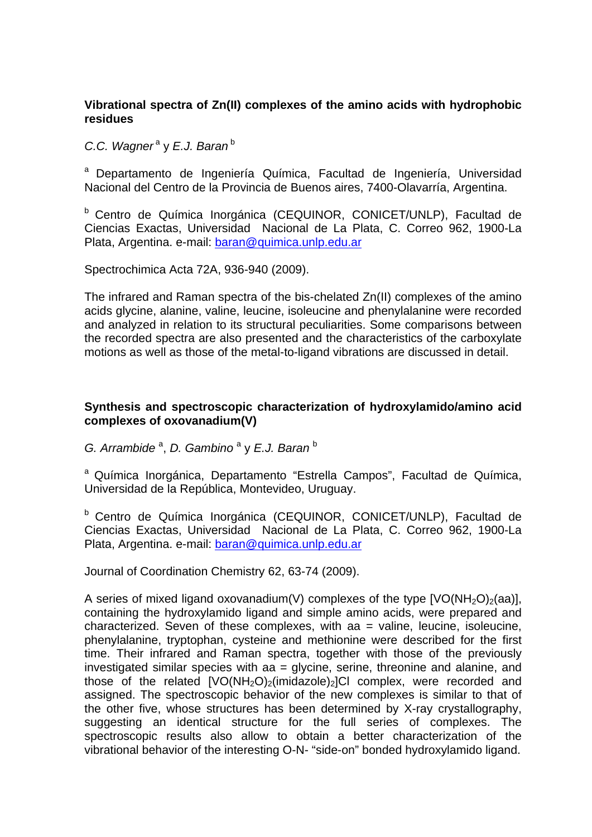## **Vibrational spectra of Zn(II) complexes of the amino acids with hydrophobic residues**

*C.C. Wagner<sup>a</sup>* y *E.J. Baran*<sup>b</sup>

a Departamento de Ingeniería Química, Facultad de Ingeniería, Universidad Nacional del Centro de la Provincia de Buenos aires, 7400-Olavarría, Argentina.

b Centro de Química Inorgánica (CEQUINOR, CONICET/UNLP), Facultad de Ciencias Exactas, Universidad Nacional de La Plata, C. Correo 962, 1900-La Plata, Argentina. e-mail: baran@quimica.unlp.edu.ar

Spectrochimica Acta 72A, 936-940 (2009).

The infrared and Raman spectra of the bis-chelated Zn(II) complexes of the amino acids glycine, alanine, valine, leucine, isoleucine and phenylalanine were recorded and analyzed in relation to its structural peculiarities. Some comparisons between the recorded spectra are also presented and the characteristics of the carboxylate motions as well as those of the metal-to-ligand vibrations are discussed in detail.

## **Synthesis and spectroscopic characterization of hydroxylamido/amino acid complexes of oxovanadium(V)**

G. Arrambide<sup>a</sup>, D. Gambino<sup>a</sup> y E.J. Baran<sup>b</sup>

<sup>a</sup> Química Inorgánica, Departamento "Estrella Campos", Facultad de Química, Universidad de la República, Montevideo, Uruguay.

<sup>b</sup> Centro de Química Inorgánica (CEQUINOR, CONICET/UNLP), Facultad de Ciencias Exactas, Universidad Nacional de La Plata, C. Correo 962, 1900-La Plata, Argentina. e-mail: baran@quimica.unlp.edu.ar

Journal of Coordination Chemistry 62, 63-74 (2009).

A series of mixed ligand oxovanadium(V) complexes of the type  $[VO(NH<sub>2</sub>O)<sub>2</sub>(aa)]$ , containing the hydroxylamido ligand and simple amino acids, were prepared and characterized. Seven of these complexes, with aa = valine, leucine, isoleucine, phenylalanine, tryptophan, cysteine and methionine were described for the first time. Their infrared and Raman spectra, together with those of the previously investigated similar species with aa = glycine, serine, threonine and alanine, and those of the related  $[VO(NH<sub>2</sub>O)<sub>2</sub>(imidazole)<sub>2</sub>]Cl$  complex, were recorded and assigned. The spectroscopic behavior of the new complexes is similar to that of the other five, whose structures has been determined by X-ray crystallography, suggesting an identical structure for the full series of complexes. The spectroscopic results also allow to obtain a better characterization of the vibrational behavior of the interesting O-N- "side-on" bonded hydroxylamido ligand.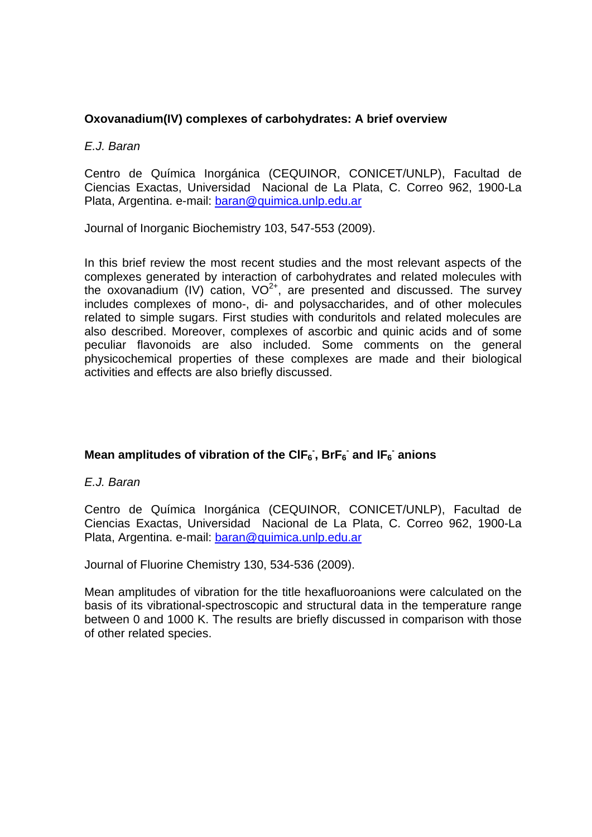# **Oxovanadium(IV) complexes of carbohydrates: A brief overview**

#### *E.J. Baran*

Centro de Química Inorgánica (CEQUINOR, CONICET/UNLP), Facultad de Ciencias Exactas, Universidad Nacional de La Plata, C. Correo 962, 1900-La Plata, Argentina. e-mail: baran@quimica.unlp.edu.ar

Journal of Inorganic Biochemistry 103, 547-553 (2009).

In this brief review the most recent studies and the most relevant aspects of the complexes generated by interaction of carbohydrates and related molecules with the oxovanadium (IV) cation,  $VO^{2+}$ , are presented and discussed. The survey includes complexes of mono-, di- and polysaccharides, and of other molecules related to simple sugars. First studies with conduritols and related molecules are also described. Moreover, complexes of ascorbic and quinic acids and of some peculiar flavonoids are also included. Some comments on the general physicochemical properties of these complexes are made and their biological activities and effects are also briefly discussed.

# Mean amplitudes of vibration of the CIF<sub>6</sub><sup>-</sup>, BrF<sub>6</sub><sup>-</sup> and IF<sub>6</sub><sup>-</sup> anions

*E.J. Baran* 

Centro de Química Inorgánica (CEQUINOR, CONICET/UNLP), Facultad de Ciencias Exactas, Universidad Nacional de La Plata, C. Correo 962, 1900-La Plata, Argentina. e-mail: baran@quimica.unlp.edu.ar

Journal of Fluorine Chemistry 130, 534-536 (2009).

Mean amplitudes of vibration for the title hexafluoroanions were calculated on the basis of its vibrational-spectroscopic and structural data in the temperature range between 0 and 1000 K. The results are briefly discussed in comparison with those of other related species.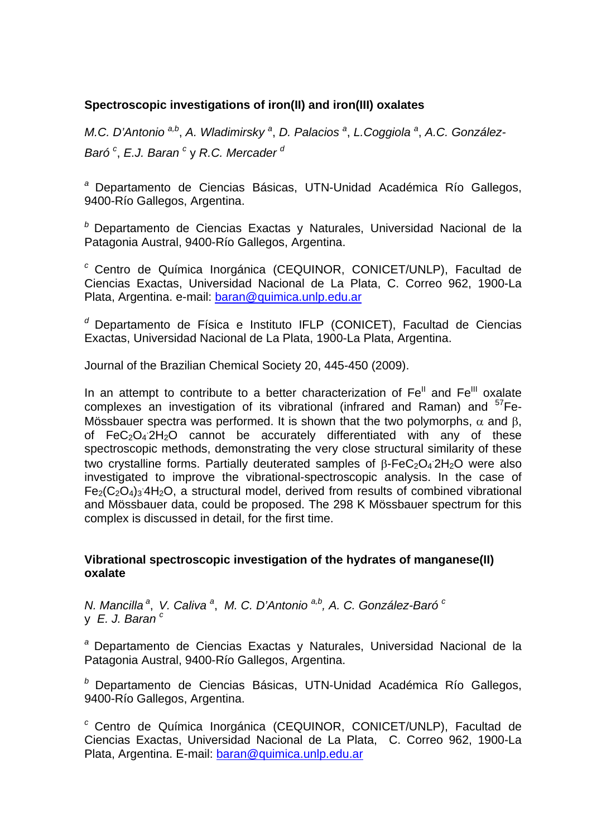## **Spectroscopic investigations of iron(II) and iron(III) oxalates**

*M.C. D'Antonio*<sup>a,b</sup>, *A. Wladimirsky*<sup>a</sup>, *D. Palacios*<sup>a</sup>, *L.Coggiola*<sup>a</sup>, *A.C. González-*Baró<sup>c</sup>, E.J. Baran<sup>c</sup>y R.C. Mercader<sup>d</sup>

*<sup>a</sup>* Departamento de Ciencias Básicas, UTN-Unidad Académica Río Gallegos, 9400-Río Gallegos, Argentina.

*<sup>b</sup>* Departamento de Ciencias Exactas y Naturales, Universidad Nacional de la Patagonia Austral, 9400-Río Gallegos, Argentina.

*<sup>c</sup>* Centro de Química Inorgánica (CEQUINOR, CONICET/UNLP), Facultad de Ciencias Exactas, Universidad Nacional de La Plata, C. Correo 962, 1900-La Plata, Argentina. e-mail: baran@quimica.unlp.edu.ar

*<sup>d</sup>* Departamento de Física e Instituto IFLP (CONICET), Facultad de Ciencias Exactas, Universidad Nacional de La Plata, 1900-La Plata, Argentina.

Journal of the Brazilian Chemical Society 20, 445-450 (2009).

In an attempt to contribute to a better characterization of  $Fe<sup>II</sup>$  and  $Fe<sup>III</sup>$  oxalate complexes an investigation of its vibrational (infrared and Raman) and  $57Fe$ -Mössbauer spectra was performed. It is shown that the two polymorphs,  $\alpha$  and  $\beta$ . of  $FeC<sub>2</sub>O<sub>4</sub> 2H<sub>2</sub>O$  cannot be accurately differentiated with any of these spectroscopic methods, demonstrating the very close structural similarity of these two crystalline forms. Partially deuterated samples of  $\beta$ -FeC<sub>2</sub>O<sub>4</sub> 2H<sub>2</sub>O were also investigated to improve the vibrational-spectroscopic analysis. In the case of  $Fe<sub>2</sub>(C<sub>2</sub>O<sub>4</sub>)<sub>3</sub>$  4H<sub>2</sub>O, a structural model, derived from results of combined vibrational and Mössbauer data, could be proposed. The 298 K Mössbauer spectrum for this complex is discussed in detail, for the first time.

## **Vibrational spectroscopic investigation of the hydrates of manganese(II) oxalate**

*N. Mancilla<sup>a</sup>, V. Caliva<sup>a</sup>, M. C. D'Antonio<sup>a,b</sup>, A. C. González-Baró <sup>c</sup>* y *E. J. Baran c* 

*<sup>a</sup>* Departamento de Ciencias Exactas y Naturales, Universidad Nacional de la Patagonia Austral, 9400-Río Gallegos, Argentina.

*<sup>b</sup>* Departamento de Ciencias Básicas, UTN-Unidad Académica Río Gallegos, 9400-Río Gallegos, Argentina.

*<sup>c</sup>* Centro de Química Inorgánica (CEQUINOR, CONICET/UNLP), Facultad de Ciencias Exactas, Universidad Nacional de La Plata, C. Correo 962, 1900-La Plata, Argentina. E-mail: baran@quimica.unlp.edu.ar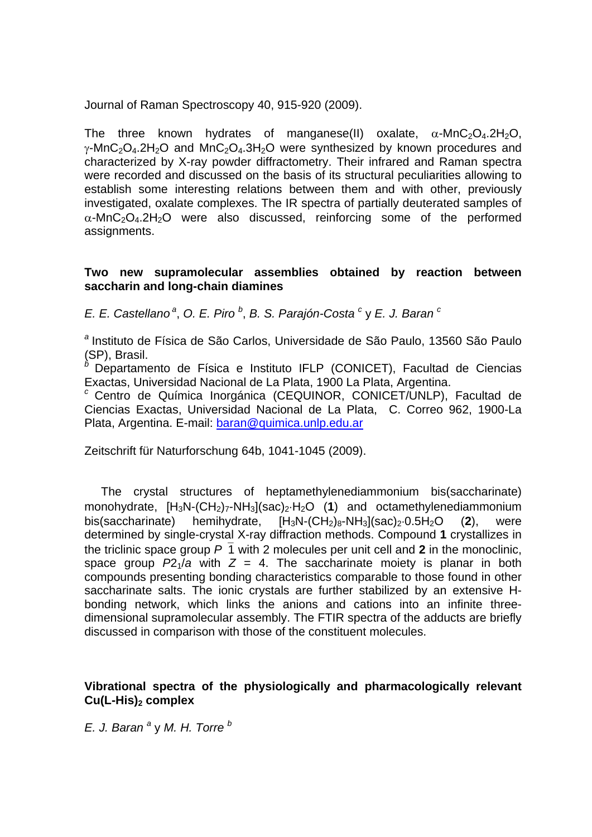Journal of Raman Spectroscopy 40, 915-920 (2009).

The three known hydrates of manganese(II) oxalate,  $\alpha$ -MnC<sub>2</sub>O<sub>4</sub>.2H<sub>2</sub>O,  $\gamma$ -MnC<sub>2</sub>O<sub>4</sub>.2H<sub>2</sub>O and MnC<sub>2</sub>O<sub>4</sub>.3H<sub>2</sub>O were synthesized by known procedures and characterized by X-ray powder diffractometry. Their infrared and Raman spectra were recorded and discussed on the basis of its structural peculiarities allowing to establish some interesting relations between them and with other, previously investigated, oxalate complexes. The IR spectra of partially deuterated samples of  $\alpha$ -MnC<sub>2</sub>O<sub>4</sub>.2H<sub>2</sub>O were also discussed, reinforcing some of the performed assignments.

#### **Two new supramolecular assemblies obtained by reaction between saccharin and long-chain diamines**

*E. E. Castellano<sup>a</sup>, O. E. Piro*<sup>b</sup>, *B. S. Parajón-Costa*<sup>c</sup> y *E. J. Baran*<sup>c</sup>

*<sup>a</sup>* Instituto de Física de São Carlos, Universidade de São Paulo, 13560 São Paulo (SP), Brasil.

*<sup>b</sup>* Departamento de Física e Instituto IFLP (CONICET), Facultad de Ciencias

Exactas, Universidad Nacional de La Plata, 1900 La Plata, Argentina. *<sup>c</sup>* Centro de Química Inorgánica (CEQUINOR, CONICET/UNLP), Facultad de Ciencias Exactas, Universidad Nacional de La Plata, C. Correo 962, 1900-La Plata, Argentina. E-mail: baran@quimica.unlp.edu.ar

Zeitschrift für Naturforschung 64b, 1041-1045 (2009).

 The crystal structures of heptamethylenediammonium bis(saccharinate) monohydrate,  $[H_3N-(CH_2)_7-NH_3](sac)_2\cdot H_2O$  (1) and octamethylenediammonium bis(saccharinate) hemihydrate, [H<sub>3</sub>N-(CH<sub>2</sub>)<sub>8</sub>-NH<sub>3</sub>](sac)<sub>2</sub>-0.5H<sub>2</sub>O (**2**), were determined by single-crystal X-ray diffraction methods. Compound **1** crystallizes in the triclinic space group  $P_1$  with 2 molecules per unit cell and 2 in the monoclinic. space group  $P2_1/a$  with  $Z = 4$ . The saccharinate moiety is planar in both compounds presenting bonding characteristics comparable to those found in other saccharinate salts. The ionic crystals are further stabilized by an extensive Hbonding network, which links the anions and cations into an infinite threedimensional supramolecular assembly. The FTIR spectra of the adducts are briefly discussed in comparison with those of the constituent molecules.

#### **Vibrational spectra of the physiologically and pharmacologically relevant**  Cu(L-His)<sub>2</sub> complex

*E. J. Baran <sup>a</sup>* y *M. H. Torre b*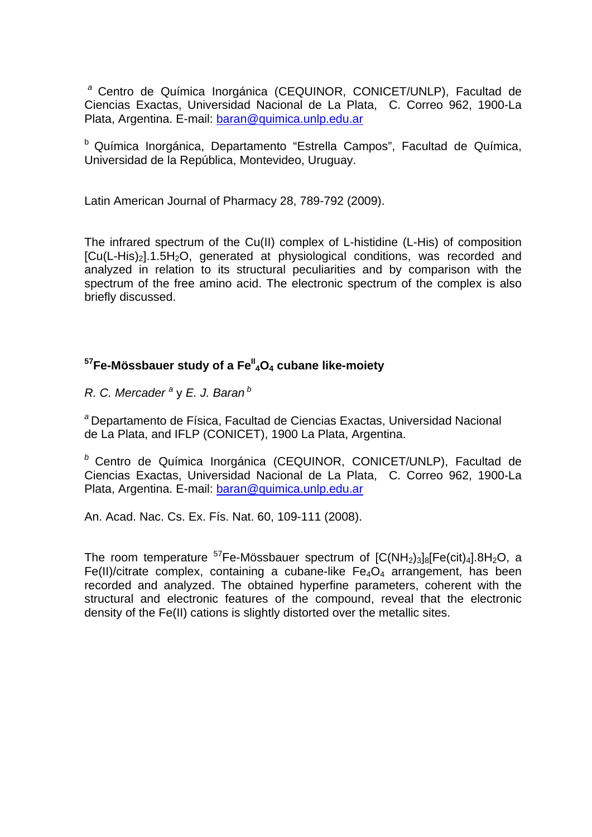*<sup>a</sup>* Centro de Química Inorgánica (CEQUINOR, CONICET/UNLP), Facultad de Ciencias Exactas, Universidad Nacional de La Plata, C. Correo 962, 1900-La Plata, Argentina. E-mail: baran@quimica.unlp.edu.ar

b Química Inorgánica, Departamento "Estrella Campos", Facultad de Química, Universidad de la República, Montevideo, Uruguay.

Latin American Journal of Pharmacy 28, 789-792 (2009).

The infrared spectrum of the Cu(II) complex of L-histidine (L-His) of composition  $[Cu(L-His)<sub>2</sub>].1.5H<sub>2</sub>O$ , generated at physiological conditions, was recorded and analyzed in relation to its structural peculiarities and by comparison with the spectrum of the free amino acid. The electronic spectrum of the complex is also briefly discussed.

# <sup>57</sup>Fe-Mössbauer study of a Fe<sup>ll</sup>4O<sub>4</sub> cubane like-moiety

*R. C. Mercader* <sup>a</sup> y *E. J. Baran*<sup>*b*</sup>

*<sup>a</sup>* Departamento de Física, Facultad de Ciencias Exactas, Universidad Nacional de La Plata, and IFLP (CONICET), 1900 La Plata, Argentina.

*<sup>b</sup>* Centro de Química Inorgánica (CEQUINOR, CONICET/UNLP), Facultad de Ciencias Exactas, Universidad Nacional de La Plata, C. Correo 962, 1900-La Plata, Argentina. E-mail: baran@quimica.unlp.edu.ar

An. Acad. Nac. Cs. Ex. Fís. Nat. 60, 109-111 (2008).

The room temperature  $57$ Fe-Mössbauer spectrum of  $[C(NH<sub>2</sub>)<sub>3</sub>]<sub>8</sub>[Fe(cit)<sub>4</sub>].8H<sub>2</sub>O, a$ Fe(II)/citrate complex, containing a cubane-like  $Fe_4O_4$  arrangement, has been recorded and analyzed. The obtained hyperfine parameters, coherent with the structural and electronic features of the compound, reveal that the electronic density of the Fe(II) cations is slightly distorted over the metallic sites.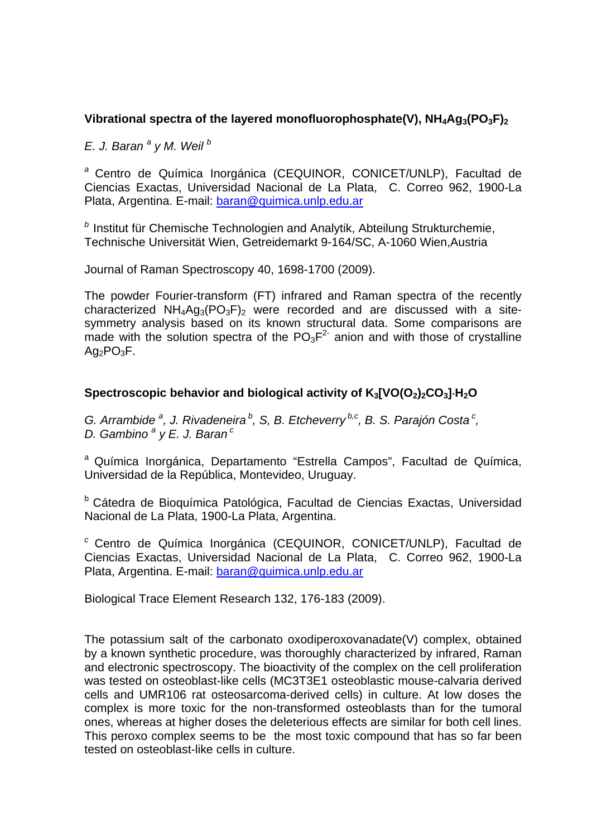# Vibrational spectra of the layered monofluorophosphate(V), NH<sub>4</sub>Aq<sub>3</sub>(PO<sub>3</sub>F)<sub>2</sub>

*E. J. Baran <sup>a</sup> y M. Weil <sup>b</sup>*

*<sup>a</sup>* Centro de Química Inorgánica (CEQUINOR, CONICET/UNLP), Facultad de Ciencias Exactas, Universidad Nacional de La Plata, C. Correo 962, 1900-La Plata, Argentina. E-mail: baran@quimica.unlp.edu.ar

*<sup>b</sup>* Institut für Chemische Technologien and Analytik, Abteilung Strukturchemie, Technische Universität Wien, Getreidemarkt 9-164/SC, A-1060 Wien,Austria

Journal of Raman Spectroscopy 40, 1698-1700 (2009).

The powder Fourier-transform (FT) infrared and Raman spectra of the recently characterized  $NH_4Aq_3(PO_3F)_2$  were recorded and are discussed with a sitesymmetry analysis based on its known structural data. Some comparisons are made with the solution spectra of the  $PO<sub>3</sub>F<sup>2</sup>$  anion and with those of crystalline  $Aq_2PO_3F$ .

## Spectroscopic behavior and biological activity of K<sub>3</sub>[VO(O<sub>2</sub>)<sub>2</sub>CO<sub>3</sub>]<sub></sub>H<sub>2</sub>O

*G. Arrambide<sup>a</sup>, J. Rivadeneira<sup>b</sup>, S, B. Etcheverry<sup>b,c</sup>, B. S. Parajón Costa<sup>c</sup>, D. Gambino <sup>a</sup> y E. J. Baran c*

a Química Inorgánica, Departamento "Estrella Campos", Facultad de Química, Universidad de la República, Montevideo, Uruguay.

b Cátedra de Bioquímica Patológica, Facultad de Ciencias Exactas, Universidad Nacional de La Plata, 1900-La Plata, Argentina.

*<sup>c</sup>* Centro de Química Inorgánica (CEQUINOR, CONICET/UNLP), Facultad de Ciencias Exactas, Universidad Nacional de La Plata, C. Correo 962, 1900-La Plata, Argentina. E-mail: baran@quimica.unlp.edu.ar

Biological Trace Element Research 132, 176-183 (2009).

The potassium salt of the carbonato oxodiperoxovanadate(V) complex, obtained by a known synthetic procedure, was thoroughly characterized by infrared, Raman and electronic spectroscopy. The bioactivity of the complex on the cell proliferation was tested on osteoblast-like cells (MC3T3E1 osteoblastic mouse-calvaria derived cells and UMR106 rat osteosarcoma-derived cells) in culture. At low doses the complex is more toxic for the non-transformed osteoblasts than for the tumoral ones, whereas at higher doses the deleterious effects are similar for both cell lines. This peroxo complex seems to be the most toxic compound that has so far been tested on osteoblast-like cells in culture.